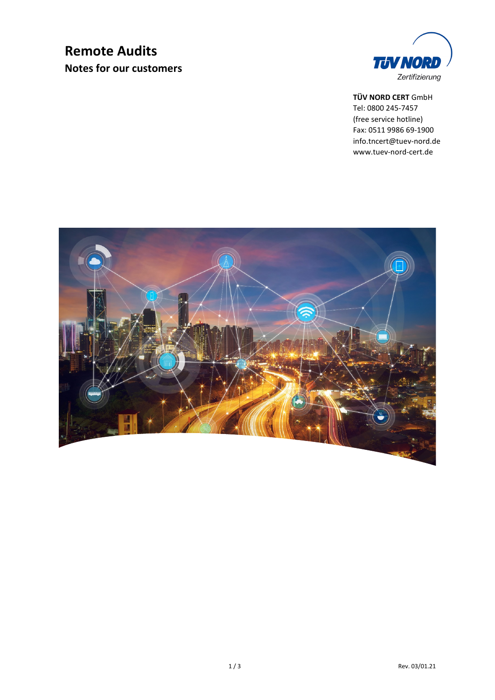## **Remote Audits Notes for our customers**



#### **TÜV NORD CERT** GmbH

Tel: 0800 245-7457 (free service hotline) Fax: 0511 9986 69-1900 info.tncert@tuev-nord.de www.tuev-nord-cert.de

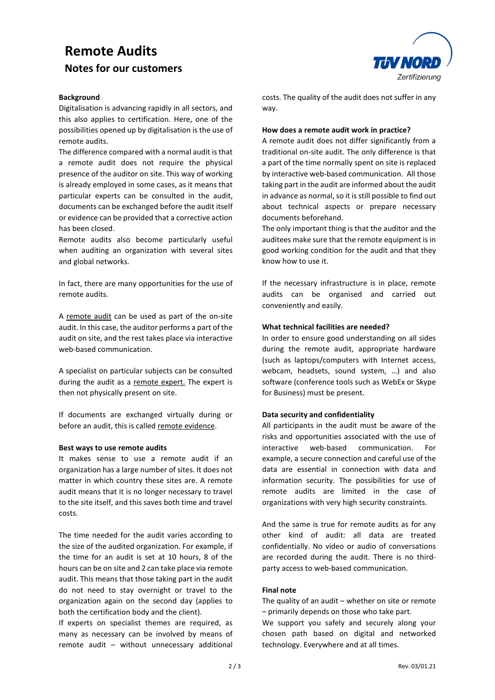# **Remote Audits Notes for our customers**

#### **Background**

Digitalisation is advancing rapidly in all sectors, and this also applies to certification. Here, one of the possibilities opened up by digitalisation is the use of remote audits.

The difference compared with a normal audit is that a remote audit does not require the physical presence of the auditor on site. This way of working is already employed in some cases, as it means that particular experts can be consulted in the audit, documents can be exchanged before the audit itself or evidence can be provided that a corrective action has been closed.

Remote audits also become particularly useful when auditing an organization with several sites and global networks.

In fact, there are many opportunities for the use of remote audits.

A remote audit can be used as part of the on-site audit. In this case, the auditor performs a part of the audit on site, and the rest takes place via interactive web-based communication.

A specialist on particular subjects can be consulted during the audit as a remote expert. The expert is then not physically present on site.

If documents are exchanged virtually during or before an audit, this is called remote evidence.

#### **Best ways to use remote audits**

It makes sense to use a remote audit if an organization has a large number of sites. It does not matter in which country these sites are. A remote audit means that it is no longer necessary to travel to the site itself, and this saves both time and travel costs.

The time needed for the audit varies according to the size of the audited organization. For example, if the time for an audit is set at 10 hours, 8 of the hours can be on site and 2 can take place via remote audit. This means that those taking part in the audit do not need to stay overnight or travel to the organization again on the second day (applies to both the certification body and the client).

If experts on specialist themes are required, as many as necessary can be involved by means of remote audit – without unnecessary additional



costs. The quality of the audit does not suffer in any way.

#### **How does a remote audit work in practice?**

A remote audit does not differ significantly from a traditional on-site audit. The only difference is that a part of the time normally spent on site is replaced by interactive web-based communication. All those taking part in the audit are informed about the audit in advance as normal, so it is still possible to find out about technical aspects or prepare necessary documents beforehand.

The only important thing is that the auditor and the auditees make sure that the remote equipment is in good working condition for the audit and that they know how to use it.

If the necessary infrastructure is in place, remote audits can be organised and carried out conveniently and easily.

#### **What technical facilities are needed?**

In order to ensure good understanding on all sides during the remote audit, appropriate hardware (such as laptops/computers with Internet access, webcam, headsets, sound system, …) and also software (conference tools such as WebEx or Skype for Business) must be present.

#### **Data security and confidentiality**

All participants in the audit must be aware of the risks and opportunities associated with the use of interactive web-based communication. For example, a secure connection and careful use of the data are essential in connection with data and information security. The possibilities for use of remote audits are limited in the case of organizations with very high security constraints.

And the same is true for remote audits as for any other kind of audit: all data are treated confidentially. No video or audio of conversations are recorded during the audit. There is no thirdparty access to web-based communication.

#### **Final note**

The quality of an audit – whether on site or remote – primarily depends on those who take part.

We support you safely and securely along your chosen path based on digital and networked technology. Everywhere and at all times.